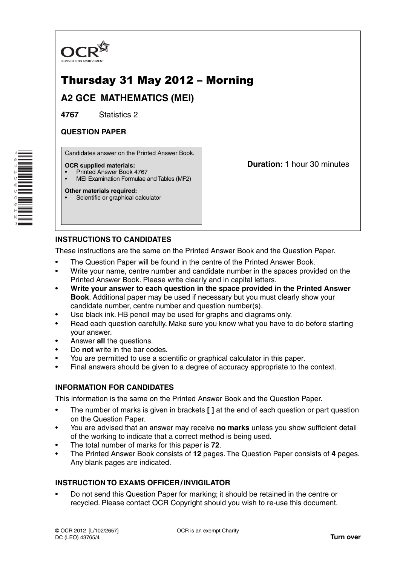

# Thursday 31 May 2012 – Morning

**A2 GCE MATHEMATICS (MEI)**

**4767** Statistics 2

## **QUESTION PAPER**

Candidates answer on the Printed Answer Book.

#### **OCR supplied materials:**

- Printed Answer Book 4767
- MEI Examination Formulae and Tables (MF2)

#### **Other materials required:**

Scientific or graphical calculator

**Duration:** 1 hour 30 minutes

## **INSTRUCTIONS TO CANDIDATES**

These instructions are the same on the Printed Answer Book and the Question Paper.

- The Question Paper will be found in the centre of the Printed Answer Book.
- Write your name, centre number and candidate number in the spaces provided on the Printed Answer Book. Please write clearly and in capital letters.
- **Write your answer to each question in the space provided in the Printed Answer Book**. Additional paper may be used if necessary but you must clearly show your candidate number, centre number and question number(s).
- Use black ink. HB pencil may be used for graphs and diagrams only.
- Read each question carefully. Make sure you know what you have to do before starting your answer.
- Answer **all** the questions.
- Do **not** write in the bar codes.
- You are permitted to use a scientific or graphical calculator in this paper.
- Final answers should be given to a degree of accuracy appropriate to the context.

### **INFORMATION FOR CANDIDATES**

This information is the same on the Printed Answer Book and the Question Paper.

- The number of marks is given in brackets **[ ]** at the end of each question or part question on the Question Paper.
- You are advised that an answer may receive **no marks** unless you show sufficient detail of the working to indicate that a correct method is being used.
- The total number of marks for this paper is **72**.
- The Printed Answer Book consists of **12** pages. The Question Paper consists of **4** pages. Any blank pages are indicated.

### **INSTRUCTION TO EXAMS OFFICER / INVIGILATOR**

• Do not send this Question Paper for marking; it should be retained in the centre or recycled. Please contact OCR Copyright should you wish to re-use this document.

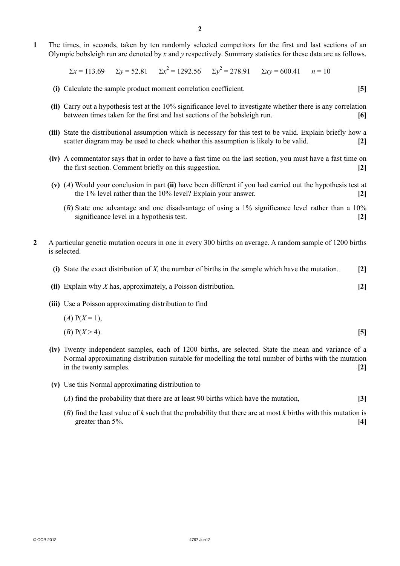**1** The times, in seconds, taken by ten randomly selected competitors for the first and last sections of an Olympic bobsleigh run are denoted by *x* and *y* respectively. Summary statistics for these data are as follows.

 $\Sigma x = 113.69$   $\Sigma y = 52.81$   $\Sigma x^2 = 1292.56$   $\Sigma y^2 = 278.91$   $\Sigma xy = 600.41$   $n = 10$ 

- **(i)** Calculate the sample product moment correlation coefficient. **[5]**
- **(ii)** Carry out a hypothesis test at the 10% significance level to investigate whether there is any correlation between times taken for the first and last sections of the bobsleigh run. **[6]**
- **(iii)** State the distributional assumption which is necessary for this test to be valid. Explain briefly how a scatter diagram may be used to check whether this assumption is likely to be valid. **[2]**
- **(iv)** A commentator says that in order to have a fast time on the last section, you must have a fast time on the first section. Comment briefly on this suggestion. **[2]**
- **(v)** (*A*) Would your conclusion in part **(ii)** have been different if you had carried out the hypothesis test at the 1% level rather than the 10% level? Explain your answer. **[2]**
	- (*B*)State one advantage and one disadvantage of using a 1% significance level rather than a 10% significance level in a hypothesis test. **[2]**
- **2** A particular genetic mutation occurs in one in every 300 births on average. A random sample of 1200 births is selected.
	- **(i)** State the exact distribution of *X,* the number of births in the sample which have the mutation. **[2]**
	- **(ii)** Explain why *X* has, approximately, a Poisson distribution. **[2]**
	- **(iii)** Use a Poisson approximating distribution to find

$$
(A) P(X = 1),(B) P(X > 4).
$$
 [5]

- **(iv)** Twenty independent samples, each of 1200 births, are selected. State the mean and variance of a Normal approximating distribution suitable for modelling the total number of births with the mutation in the twenty samples. **[2]**
- **(v)** Use this Normal approximating distribution to
	- (*A*) find the probability that there are at least 90 births which have the mutation, **[3]**
	- (*B*) find the least value of *k* such that the probability that there are at most *k* births with this mutation is greater than 5%. **[4]**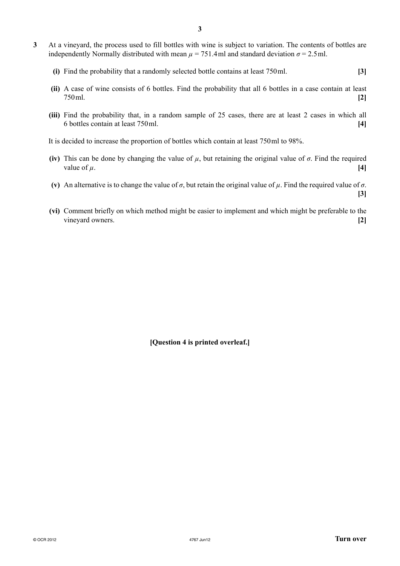- **3** At a vineyard, the process used to fill bottles with wine is subject to variation. The contents of bottles are independently Normally distributed with mean  $\mu$  = 751.4ml and standard deviation  $\sigma$  = 2.5ml.
	- **(i)** Find the probability that a randomly selected bottle contains at least 750ml. **[3]**
	- **(ii)** A case of wine consists of 6 bottles. Find the probability that all 6 bottles in a case contain at least 750ml. **[2]**
	- **(iii)** Find the probability that, in a random sample of 25 cases, there are at least 2 cases in which all 6 bottles contain at least 750ml. **[4]**

It is decided to increase the proportion of bottles which contain at least 750ml to 98%.

- **(iv)** This can be done by changing the value of  $\mu$ , but retaining the original value of  $\sigma$ . Find the required value of  $\mu$ . **[4]**
- **(v)** An alternative is to change the value of  $\sigma$ , but retain the original value of  $\mu$ . Find the required value of  $\sigma$ .
- **(vi)** Comment briefly on which method might be easier to implement and which might be preferable to the vineyard owners. **[2]**

**[Question 4 is printed overleaf.]**

**[3]**